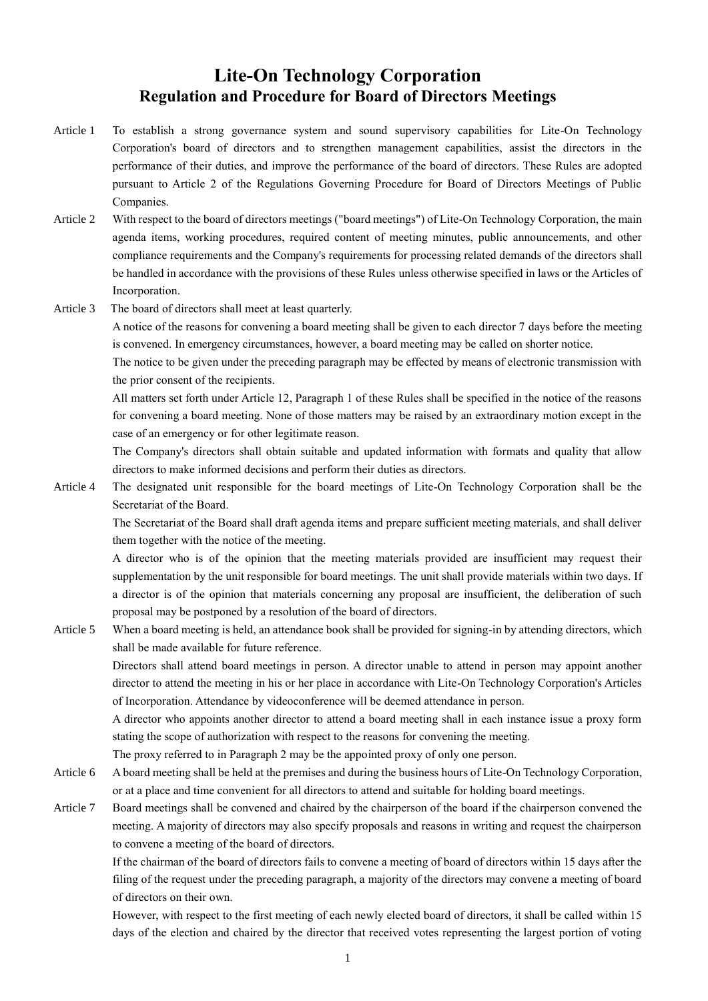## **Lite-On Technology Corporation Regulation and Procedure for Board of Directors Meetings**

- Article 1 To establish a strong governance system and sound supervisory capabilities for Lite-On Technology Corporation's board of directors and to strengthen management capabilities, assist the directors in the performance of their duties, and improve the performance of the board of directors. These Rules are adopted pursuant to Article 2 of the Regulations Governing Procedure for Board of Directors Meetings of Public Companies.
- Article 2 With respect to the board of directors meetings ("board meetings") of Lite-On Technology Corporation, the main agenda items, working procedures, required content of meeting minutes, public announcements, and other compliance requirements and the Company's requirements for processing related demands of the directors shall be handled in accordance with the provisions of these Rules unless otherwise specified in laws or the Articles of Incorporation.
- Article 3 The board of directors shall meet at least quarterly.

A notice of the reasons for convening a board meeting shall be given to each director 7 days before the meeting is convened. In emergency circumstances, however, a board meeting may be called on shorter notice.

The notice to be given under the preceding paragraph may be effected by means of electronic transmission with the prior consent of the recipients.

All matters set forth under Article 12, Paragraph 1 of these Rules shall be specified in the notice of the reasons for convening a board meeting. None of those matters may be raised by an extraordinary motion except in the case of an emergency or for other legitimate reason.

The Company's directors shall obtain suitable and updated information with formats and quality that allow directors to make informed decisions and perform their duties as directors.

Article 4 The designated unit responsible for the board meetings of Lite-On Technology Corporation shall be the Secretariat of the Board.

The Secretariat of the Board shall draft agenda items and prepare sufficient meeting materials, and shall deliver them together with the notice of the meeting.

A director who is of the opinion that the meeting materials provided are insufficient may request their supplementation by the unit responsible for board meetings. The unit shall provide materials within two days. If a director is of the opinion that materials concerning any proposal are insufficient, the deliberation of such proposal may be postponed by a resolution of the board of directors.

Article 5 When a board meeting is held, an attendance book shall be provided for signing-in by attending directors, which shall be made available for future reference.

Directors shall attend board meetings in person. A director unable to attend in person may appoint another director to attend the meeting in his or her place in accordance with Lite-On Technology Corporation's Articles of Incorporation. Attendance by videoconference will be deemed attendance in person.

A director who appoints another director to attend a board meeting shall in each instance issue a proxy form stating the scope of authorization with respect to the reasons for convening the meeting.

The proxy referred to in Paragraph 2 may be the appointed proxy of only one person.

- Article 6 A board meeting shall be held at the premises and during the business hours of Lite-On Technology Corporation, or at a place and time convenient for all directors to attend and suitable for holding board meetings.
- Article 7 Board meetings shall be convened and chaired by the chairperson of the board if the chairperson convened the meeting. A majority of directors may also specify proposals and reasons in writing and request the chairperson to convene a meeting of the board of directors.

If the chairman of the board of directors fails to convene a meeting of board of directors within 15 days after the filing of the request under the preceding paragraph, a majority of the directors may convene a meeting of board of directors on their own.

However, with respect to the first meeting of each newly elected board of directors, it shall be called within 15 days of the election and chaired by the director that received votes representing the largest portion of voting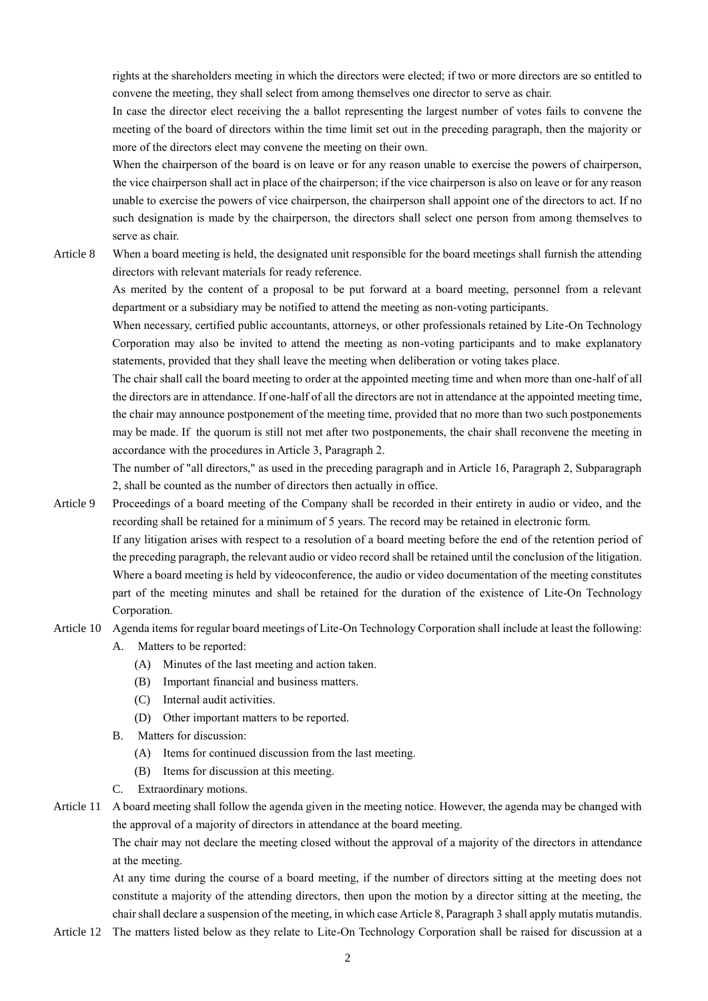rights at the shareholders meeting in which the directors were elected; if two or more directors are so entitled to convene the meeting, they shall select from among themselves one director to serve as chair.

In case the director elect receiving the a ballot representing the largest number of votes fails to convene the meeting of the board of directors within the time limit set out in the preceding paragraph, then the majority or more of the directors elect may convene the meeting on their own.

When the chairperson of the board is on leave or for any reason unable to exercise the powers of chairperson, the vice chairperson shall act in place of the chairperson; if the vice chairperson is also on leave or for any reason unable to exercise the powers of vice chairperson, the chairperson shall appoint one of the directors to act. If no such designation is made by the chairperson, the directors shall select one person from among themselves to serve as chair.

Article 8 When a board meeting is held, the designated unit responsible for the board meetings shall furnish the attending directors with relevant materials for ready reference.

As merited by the content of a proposal to be put forward at a board meeting, personnel from a relevant department or a subsidiary may be notified to attend the meeting as non-voting participants.

When necessary, certified public accountants, attorneys, or other professionals retained by Lite-On Technology Corporation may also be invited to attend the meeting as non-voting participants and to make explanatory statements, provided that they shall leave the meeting when deliberation or voting takes place.

The chair shall call the board meeting to order at the appointed meeting time and when more than one-half of all the directors are in attendance. If one-half of all the directors are not in attendance at the appointed meeting time, the chair may announce postponement of the meeting time, provided that no more than two such postponements may be made. If the quorum is still not met after two postponements, the chair shall reconvene the meeting in accordance with the procedures in Article 3, Paragraph 2.

The number of "all directors," as used in the preceding paragraph and in Article 16, Paragraph 2, Subparagraph 2, shall be counted as the number of directors then actually in office.

- Article 9 Proceedings of a board meeting of the Company shall be recorded in their entirety in audio or video, and the recording shall be retained for a minimum of 5 years. The record may be retained in electronic form. If any litigation arises with respect to a resolution of a board meeting before the end of the retention period of the preceding paragraph, the relevant audio or video record shall be retained until the conclusion of the litigation. Where a board meeting is held by videoconference, the audio or video documentation of the meeting constitutes part of the meeting minutes and shall be retained for the duration of the existence of Lite-On Technology Corporation.
- Article 10 Agenda items for regular board meetings of Lite-On Technology Corporation shall include at least the following:
	- A. Matters to be reported:
		- (A) Minutes of the last meeting and action taken.
		- (B) Important financial and business matters.
		- (C) Internal audit activities.
		- (D) Other important matters to be reported.
	- B. Matters for discussion:
		- (A) Items for continued discussion from the last meeting.
		- (B) Items for discussion at this meeting.
	- C. Extraordinary motions.

Article 11 A board meeting shall follow the agenda given in the meeting notice. However, the agenda may be changed with the approval of a majority of directors in attendance at the board meeting.

The chair may not declare the meeting closed without the approval of a majority of the directors in attendance at the meeting.

At any time during the course of a board meeting, if the number of directors sitting at the meeting does not constitute a majority of the attending directors, then upon the motion by a director sitting at the meeting, the chair shall declare a suspension of the meeting, in which case Article 8, Paragraph 3 shall apply mutatis mutandis.

Article 12 The matters listed below as they relate to Lite-On Technology Corporation shall be raised for discussion at a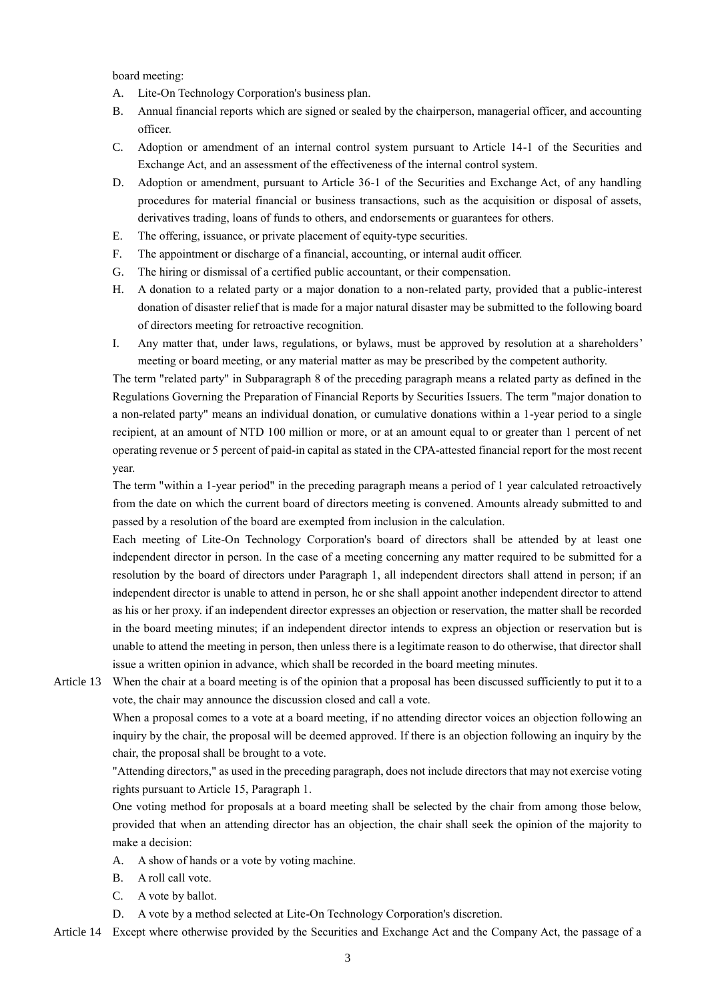board meeting:

- A. Lite-On Technology Corporation's business plan.
- B. Annual financial reports which are signed or sealed by the chairperson, managerial officer, and accounting officer.
- C. Adoption or amendment of an internal control system pursuant to Article 14-1 of the Securities and Exchange Act, and an assessment of the effectiveness of the internal control system.
- D. Adoption or amendment, pursuant to Article 36-1 of the Securities and Exchange Act, of any handling procedures for material financial or business transactions, such as the acquisition or disposal of assets, derivatives trading, loans of funds to others, and endorsements or guarantees for others.
- E. The offering, issuance, or private placement of equity-type securities.
- F. The appointment or discharge of a financial, accounting, or internal audit officer.
- G. The hiring or dismissal of a certified public accountant, or their compensation.
- H. A donation to a related party or a major donation to a non-related party, provided that a public-interest donation of disaster relief that is made for a major natural disaster may be submitted to the following board of directors meeting for retroactive recognition.
- I. Any matter that, under laws, regulations, or bylaws, must be approved by resolution at a shareholders' meeting or board meeting, or any material matter as may be prescribed by the competent authority.

The term "related party" in Subparagraph 8 of the preceding paragraph means a related party as defined in the Regulations Governing the Preparation of Financial Reports by Securities Issuers. The term "major donation to a non-related party" means an individual donation, or cumulative donations within a 1-year period to a single recipient, at an amount of NTD 100 million or more, or at an amount equal to or greater than 1 percent of net operating revenue or 5 percent of paid-in capital as stated in the CPA-attested financial report for the most recent year.

The term "within a 1-year period" in the preceding paragraph means a period of 1 year calculated retroactively from the date on which the current board of directors meeting is convened. Amounts already submitted to and passed by a resolution of the board are exempted from inclusion in the calculation.

Each meeting of Lite-On Technology Corporation's board of directors shall be attended by at least one independent director in person. In the case of a meeting concerning any matter required to be submitted for a resolution by the board of directors under Paragraph 1, all independent directors shall attend in person; if an independent director is unable to attend in person, he or she shall appoint another independent director to attend as his or her proxy. if an independent director expresses an objection or reservation, the matter shall be recorded in the board meeting minutes; if an independent director intends to express an objection or reservation but is unable to attend the meeting in person, then unless there is a legitimate reason to do otherwise, that director shall issue a written opinion in advance, which shall be recorded in the board meeting minutes.

Article 13 When the chair at a board meeting is of the opinion that a proposal has been discussed sufficiently to put it to a vote, the chair may announce the discussion closed and call a vote.

When a proposal comes to a vote at a board meeting, if no attending director voices an objection following an inquiry by the chair, the proposal will be deemed approved. If there is an objection following an inquiry by the chair, the proposal shall be brought to a vote.

"Attending directors," as used in the preceding paragraph, does not include directors that may not exercise voting rights pursuant to Article 15, Paragraph 1.

One voting method for proposals at a board meeting shall be selected by the chair from among those below, provided that when an attending director has an objection, the chair shall seek the opinion of the majority to make a decision:

- A. A show of hands or a vote by voting machine.
- B. A roll call vote.
- C. A vote by ballot.
- D. A vote by a method selected at Lite-On Technology Corporation's discretion.

Article 14 Except where otherwise provided by the Securities and Exchange Act and the Company Act, the passage of a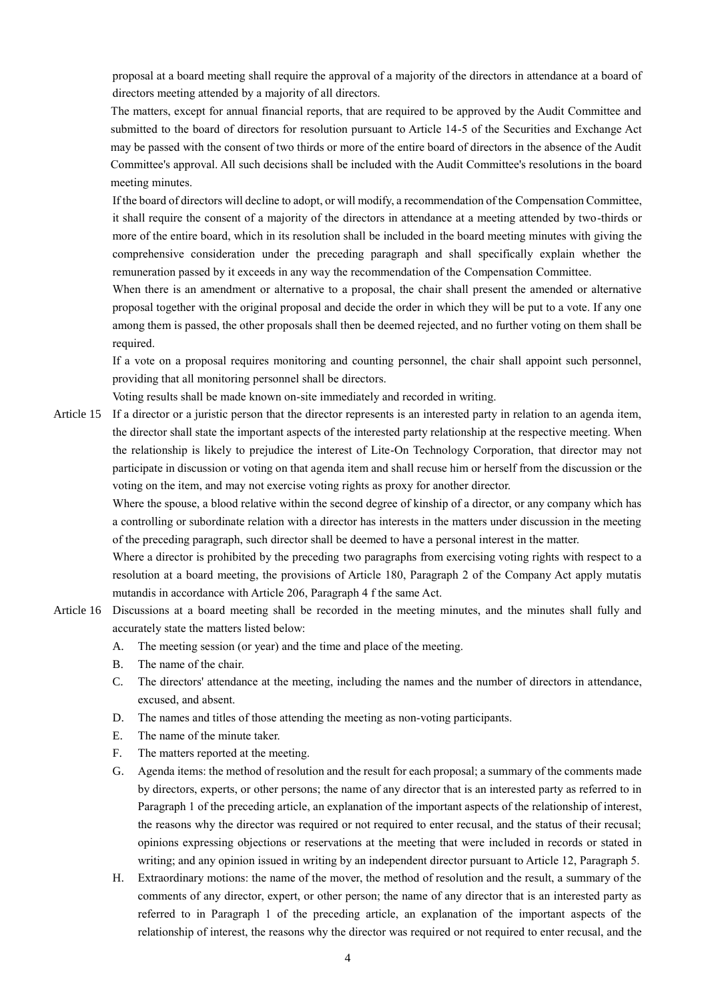proposal at a board meeting shall require the approval of a majority of the directors in attendance at a board of directors meeting attended by a majority of all directors.

The matters, except for annual financial reports, that are required to be approved by the Audit Committee and submitted to the board of directors for resolution pursuant to Article 14-5 of the Securities and Exchange Act may be passed with the consent of two thirds or more of the entire board of directors in the absence of the Audit Committee's approval. All such decisions shall be included with the Audit Committee's resolutions in the board meeting minutes.

If the board of directors will decline to adopt, or will modify, a recommendation of the Compensation Committee, it shall require the consent of a majority of the directors in attendance at a meeting attended by two-thirds or more of the entire board, which in its resolution shall be included in the board meeting minutes with giving the comprehensive consideration under the preceding paragraph and shall specifically explain whether the remuneration passed by it exceeds in any way the recommendation of the Compensation Committee.

When there is an amendment or alternative to a proposal, the chair shall present the amended or alternative proposal together with the original proposal and decide the order in which they will be put to a vote. If any one among them is passed, the other proposals shall then be deemed rejected, and no further voting on them shall be required.

If a vote on a proposal requires monitoring and counting personnel, the chair shall appoint such personnel, providing that all monitoring personnel shall be directors.

Voting results shall be made known on-site immediately and recorded in writing.

Article 15 If a director or a juristic person that the director represents is an interested party in relation to an agenda item, the director shall state the important aspects of the interested party relationship at the respective meeting. When the relationship is likely to prejudice the interest of Lite-On Technology Corporation, that director may not participate in discussion or voting on that agenda item and shall recuse him or herself from the discussion or the voting on the item, and may not exercise voting rights as proxy for another director.

Where the spouse, a blood relative within the second degree of kinship of a director, or any company which has a controlling or subordinate relation with a director has interests in the matters under discussion in the meeting of the preceding paragraph, such director shall be deemed to have a personal interest in the matter.

Where a director is prohibited by the preceding two paragraphs from exercising voting rights with respect to a resolution at a board meeting, the provisions of Article 180, Paragraph 2 of the Company Act apply mutatis mutandis in accordance with Article 206, Paragraph 4 f the same Act.

- Article 16 Discussions at a board meeting shall be recorded in the meeting minutes, and the minutes shall fully and accurately state the matters listed below:
	- A. The meeting session (or year) and the time and place of the meeting.
	- B. The name of the chair.
	- C. The directors' attendance at the meeting, including the names and the number of directors in attendance, excused, and absent.
	- D. The names and titles of those attending the meeting as non-voting participants.
	- E. The name of the minute taker.
	- F. The matters reported at the meeting.
	- G. Agenda items: the method of resolution and the result for each proposal; a summary of the comments made by directors, experts, or other persons; the name of any director that is an interested party as referred to in Paragraph 1 of the preceding article, an explanation of the important aspects of the relationship of interest, the reasons why the director was required or not required to enter recusal, and the status of their recusal; opinions expressing objections or reservations at the meeting that were included in records or stated in writing; and any opinion issued in writing by an independent director pursuant to Article 12, Paragraph 5.
	- H. Extraordinary motions: the name of the mover, the method of resolution and the result, a summary of the comments of any director, expert, or other person; the name of any director that is an interested party as referred to in Paragraph 1 of the preceding article, an explanation of the important aspects of the relationship of interest, the reasons why the director was required or not required to enter recusal, and the